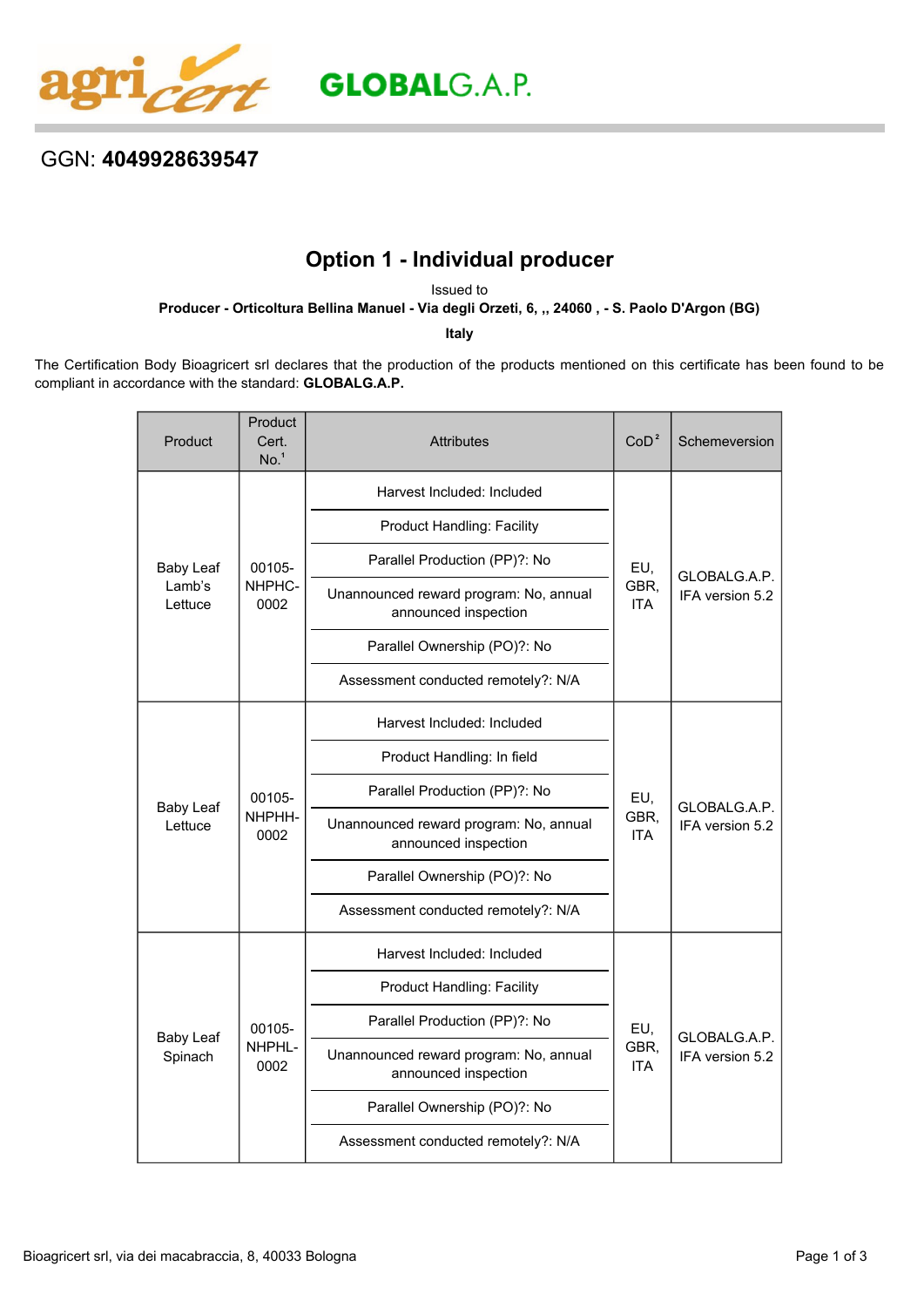

## GGN: **4049928639547**

## **Option 1 - Individual producer**

Issued to

**Producer - Orticoltura Bellina Manuel - Via degli Orzeti, 6, ,, 24060 , - S. Paolo D'Argon (BG)**

**Italy**

The Certification Body Bioagricert srl declares that the production of the products mentioned on this certificate has been found to be compliant in accordance with the standard: **GLOBALG.A.P.**

| Product                               | Product<br>Cert.<br>No. <sup>1</sup> | <b>Attributes</b>                                              | CoD <sup>2</sup>          | Schemeversion                   |
|---------------------------------------|--------------------------------------|----------------------------------------------------------------|---------------------------|---------------------------------|
| <b>Baby Leaf</b><br>Lamb's<br>Lettuce | 00105-<br>NHPHC-<br>0002             | Harvest Included: Included                                     | EU,<br>GBR,<br><b>ITA</b> | GLOBALG.A.P.<br>IFA version 5.2 |
|                                       |                                      | <b>Product Handling: Facility</b>                              |                           |                                 |
|                                       |                                      | Parallel Production (PP)?: No                                  |                           |                                 |
|                                       |                                      | Unannounced reward program: No, annual<br>announced inspection |                           |                                 |
|                                       |                                      | Parallel Ownership (PO)?: No                                   |                           |                                 |
|                                       |                                      | Assessment conducted remotely?: N/A                            |                           |                                 |
| <b>Baby Leaf</b><br>Lettuce           | 00105-<br>NHPHH-<br>0002             | Harvest Included: Included                                     | EU,<br>GBR,<br><b>ITA</b> | GLOBALG.A.P.<br>IFA version 5.2 |
|                                       |                                      | Product Handling: In field                                     |                           |                                 |
|                                       |                                      | Parallel Production (PP)?: No                                  |                           |                                 |
|                                       |                                      | Unannounced reward program: No, annual<br>announced inspection |                           |                                 |
|                                       |                                      | Parallel Ownership (PO)?: No                                   |                           |                                 |
|                                       |                                      | Assessment conducted remotely?: N/A                            |                           |                                 |
| <b>Baby Leaf</b><br>Spinach           | 00105-<br>NHPHL-<br>0002             | Harvest Included: Included                                     | EU,<br>GBR.<br><b>ITA</b> | GLOBALG.A.P.<br>IFA version 5.2 |
|                                       |                                      | <b>Product Handling: Facility</b>                              |                           |                                 |
|                                       |                                      | Parallel Production (PP)?: No                                  |                           |                                 |
|                                       |                                      | Unannounced reward program: No, annual<br>announced inspection |                           |                                 |
|                                       |                                      | Parallel Ownership (PO)?: No                                   |                           |                                 |
|                                       |                                      | Assessment conducted remotely?: N/A                            |                           |                                 |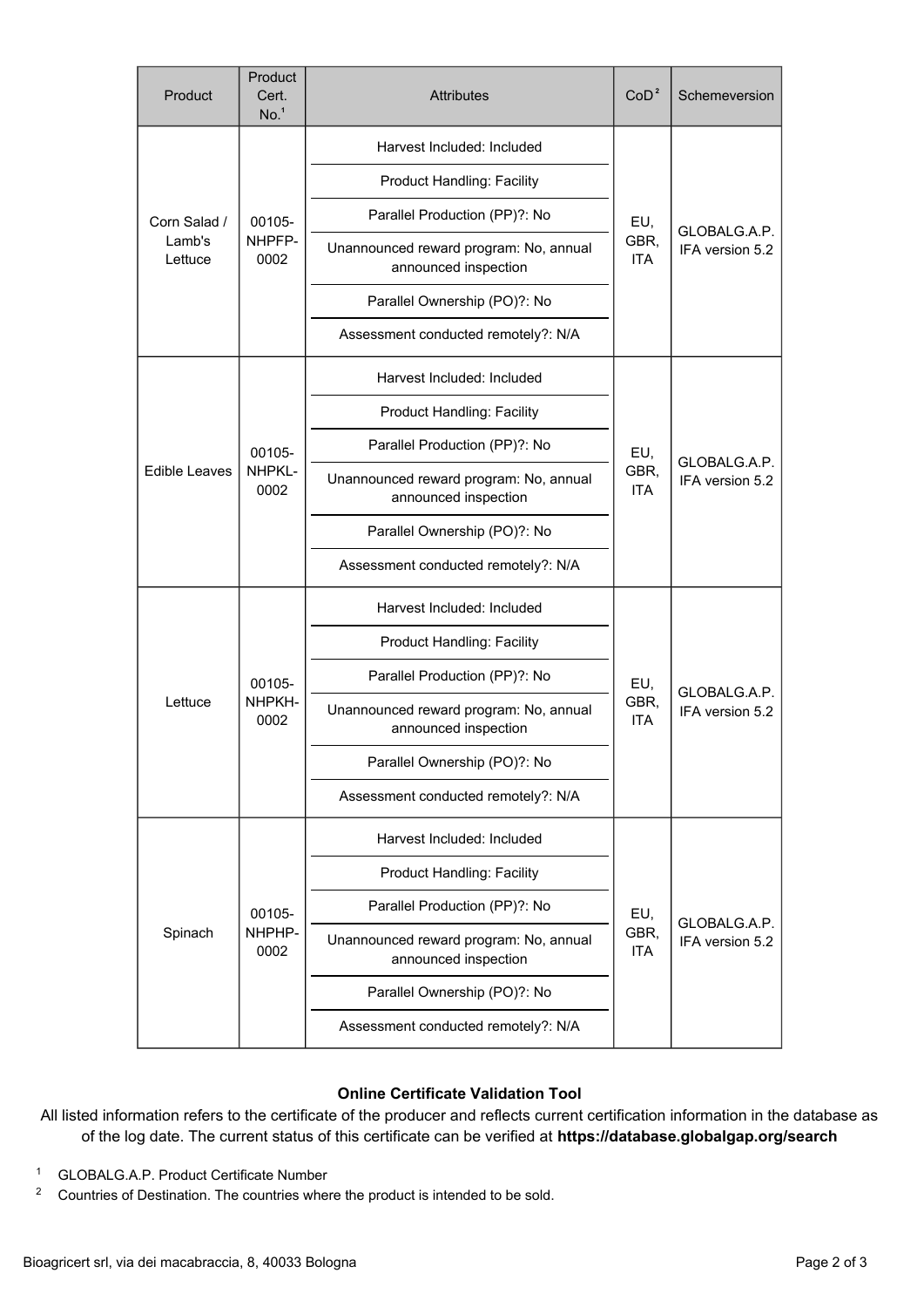| Product                           | Product<br>Cert.<br>No. <sup>1</sup> | <b>Attributes</b>                                              | CoD <sup>2</sup>          | Schemeversion                   |
|-----------------------------------|--------------------------------------|----------------------------------------------------------------|---------------------------|---------------------------------|
| Corn Salad /<br>Lamb's<br>Lettuce | 00105-<br>NHPFP-<br>0002             | Harvest Included: Included                                     | EU,<br>GBR,<br><b>ITA</b> | GLOBALG.A.P.<br>IFA version 5.2 |
|                                   |                                      | Product Handling: Facility                                     |                           |                                 |
|                                   |                                      | Parallel Production (PP)?: No                                  |                           |                                 |
|                                   |                                      | Unannounced reward program: No, annual<br>announced inspection |                           |                                 |
|                                   |                                      | Parallel Ownership (PO)?: No                                   |                           |                                 |
|                                   |                                      | Assessment conducted remotely?: N/A                            |                           |                                 |
| <b>Edible Leaves</b>              | 00105-<br>NHPKL-<br>0002             | Harvest Included: Included                                     | EU,<br>GBR,<br><b>ITA</b> | GLOBALG.A.P.<br>IFA version 5.2 |
|                                   |                                      | <b>Product Handling: Facility</b>                              |                           |                                 |
|                                   |                                      | Parallel Production (PP)?: No                                  |                           |                                 |
|                                   |                                      | Unannounced reward program: No, annual<br>announced inspection |                           |                                 |
|                                   |                                      | Parallel Ownership (PO)?: No                                   |                           |                                 |
|                                   |                                      | Assessment conducted remotely?: N/A                            |                           |                                 |
| Lettuce                           | 00105-<br>NHPKH-<br>0002             | Harvest Included: Included                                     | EU,<br>GBR,<br><b>ITA</b> | GLOBALG.A.P.<br>IFA version 5.2 |
|                                   |                                      | <b>Product Handling: Facility</b>                              |                           |                                 |
|                                   |                                      | Parallel Production (PP)?: No                                  |                           |                                 |
|                                   |                                      | Unannounced reward program: No, annual<br>announced inspection |                           |                                 |
|                                   |                                      | Parallel Ownership (PO)?: No                                   |                           |                                 |
|                                   |                                      | Assessment conducted remotely?: N/A                            |                           |                                 |
| Spinach                           | 00105-<br>NHPHP-<br>0002             | Harvest Included: Included                                     | EU,<br>GBR,<br>ITA        | GLOBALG.A.P.<br>IFA version 5.2 |
|                                   |                                      | <b>Product Handling: Facility</b>                              |                           |                                 |
|                                   |                                      | Parallel Production (PP)?: No                                  |                           |                                 |
|                                   |                                      | Unannounced reward program: No, annual<br>announced inspection |                           |                                 |
|                                   |                                      | Parallel Ownership (PO)?: No                                   |                           |                                 |
|                                   |                                      | Assessment conducted remotely?: N/A                            |                           |                                 |

## **Online Certificate Validation Tool**

All listed information refers to the certificate of the producer and reflects current certification information in the database as of the log date. The current status of this certificate can be verified at **[https://database.globalgap.org/search](https://database.globalgap.org/globalgap/search/SearchMain.faces)**

- <sup>1</sup> GLOBALG.A.P. Product Certificate Number
- <sup>2</sup> Countries of Destination. The countries where the product is intended to be sold.